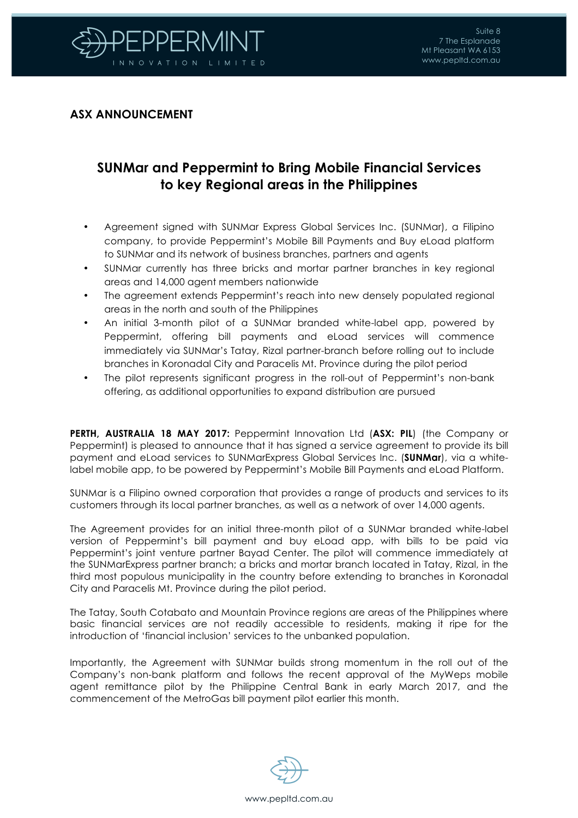

## **ASX ANNOUNCEMENT**

## **SUNMar and Peppermint to Bring Mobile Financial Services to key Regional areas in the Philippines**

- Agreement signed with SUNMar Express Global Services Inc. (SUNMar), a Filipino company, to provide Peppermint's Mobile Bill Payments and Buy eLoad platform to SUNMar and its network of business branches, partners and agents
- SUNMar currently has three bricks and mortar partner branches in key regional areas and 14,000 agent members nationwide
- The agreement extends Peppermint's reach into new densely populated regional areas in the north and south of the Philippines
- An initial 3-month pilot of a SUNMar branded white-label app, powered by Peppermint, offering bill payments and eLoad services will commence immediately via SUNMar's Tatay, Rizal partner-branch before rolling out to include branches in Koronadal City and Paracelis Mt. Province during the pilot period
- The pilot represents significant progress in the roll-out of Peppermint's non-bank offering, as additional opportunities to expand distribution are pursued

**PERTH, AUSTRALIA 18 MAY 2017:** Peppermint Innovation Ltd (**ASX: PIL**) (the Company or Peppermint) is pleased to announce that it has signed a service agreement to provide its bill payment and eLoad services to SUNMarExpress Global Services Inc. (**SUNMar**), via a whitelabel mobile app, to be powered by Peppermint's Mobile Bill Payments and eLoad Platform.

SUNMar is a Filipino owned corporation that provides a range of products and services to its customers through its local partner branches, as well as a network of over 14,000 agents.

The Agreement provides for an initial three-month pilot of a SUNMar branded white-label version of Peppermint's bill payment and buy eLoad app, with bills to be paid via Peppermint's joint venture partner Bayad Center. The pilot will commence immediately at the SUNMarExpress partner branch; a bricks and mortar branch located in Tatay, Rizal, in the third most populous municipality in the country before extending to branches in Koronadal City and Paracelis Mt. Province during the pilot period.

The Tatay, South Cotabato and Mountain Province regions are areas of the Philippines where basic financial services are not readily accessible to residents, making it ripe for the introduction of 'financial inclusion' services to the unbanked population.

Importantly, the Agreement with SUNMar builds strong momentum in the roll out of the Company's non-bank platform and follows the recent approval of the MyWeps mobile agent remittance pilot by the Philippine Central Bank in early March 2017, and the commencement of the MetroGas bill payment pilot earlier this month.